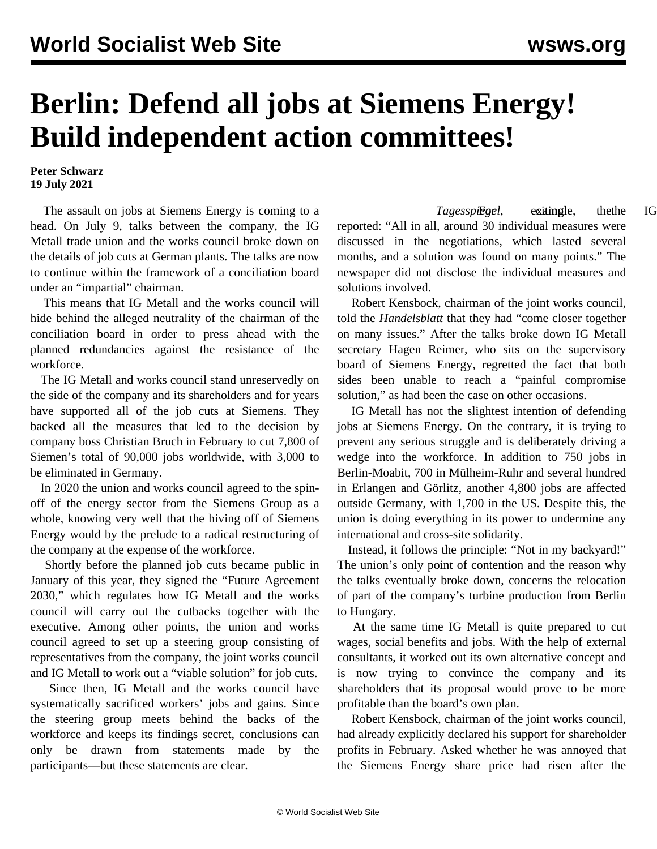## **Berlin: Defend all jobs at Siemens Energy! Build independent action committees!**

**Peter Schwarz 19 July 2021**

 The assault on jobs at Siemens Energy is coming to a head. On July 9, talks between the company, the IG Metall trade union and the works council broke down on the details of job cuts at German plants. The talks are now to continue within the framework of a conciliation board under an "impartial" chairman.

 This means that IG Metall and the works council will hide behind the alleged neutrality of the chairman of the conciliation board in order to press ahead with the planned redundancies against the resistance of the workforce.

 The IG Metall and works council stand unreservedly on the side of the company and its shareholders and for years have supported all of the job cuts at Siemens. They backed all the measures that led to the decision by company boss Christian Bruch in February to cut 7,800 of Siemen's total of 90,000 jobs worldwide, with 3,000 to be eliminated in Germany.

 In 2020 the union and works council agreed to the spinoff of the energy sector from the Siemens Group as a whole, knowing very well that the hiving off of Siemens Energy would by the prelude to a radical restructuring of the company at the expense of the workforce.

 Shortly before the planned job cuts became public in January of this year, they signed the "Future Agreement 2030," which regulates how IG Metall and the works council will carry out the cutbacks together with the executive. Among other points, the union and works council agreed to set up a steering group consisting of representatives from the company, the joint works council and IG Metall to work out a "viable solution" for job cuts.

 Since then, IG Metall and the works council have systematically sacrificed workers' jobs and gains. Since the steering group meets behind the backs of the workforce and keeps its findings secret, conclusions can only be drawn from statements made by the participants—but these statements are clear.

*Tagesspiegel*, example, the IG reported: "All in all, around 30 individual measures were discussed in the negotiations, which lasted several months, and a solution was found on many points." The newspaper did not disclose the individual measures and solutions involved.

 Robert Kensbock, chairman of the joint works council, told the *Handelsblatt* that they had "come closer together on many issues." After the talks broke down IG Metall secretary Hagen Reimer, who sits on the supervisory board of Siemens Energy, regretted the fact that both sides been unable to reach a "painful compromise solution," as had been the case on other occasions.

 IG Metall has not the slightest intention of defending jobs at Siemens Energy. On the contrary, it is trying to prevent any serious struggle and is deliberately driving a wedge into the workforce. In addition to 750 jobs in Berlin-Moabit, 700 in Mülheim-Ruhr and several hundred in Erlangen and Görlitz, another 4,800 jobs are affected outside Germany, with 1,700 in the US. Despite this, the union is doing everything in its power to undermine any international and cross-site solidarity.

 Instead, it follows the principle: "Not in my backyard!" The union's only point of contention and the reason why the talks eventually broke down, concerns the relocation of part of the company's turbine production from Berlin to Hungary.

 At the same time IG Metall is quite prepared to cut wages, social benefits and jobs. With the help of external consultants, it worked out its own alternative concept and is now trying to convince the company and its shareholders that its proposal would prove to be more profitable than the board's own plan.

 Robert Kensbock, chairman of the joint works council, had already explicitly declared his support for shareholder profits in February. Asked whether he was annoyed that the Siemens Energy share price had risen after the